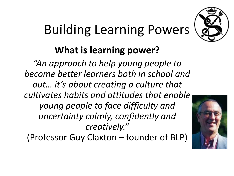# Building Learning Powers



#### **What is learning power?**

*"An approach to help young people to become better learners both in school and out… it's about creating a culture that cultivates habits and attitudes that enable young people to face difficulty and uncertainty calmly, confidently and creatively."* 

(Professor Guy Claxton – founder of BLP)

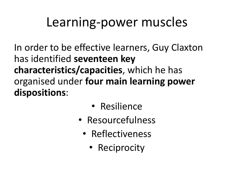### Learning-power muscles

In order to be effective learners, Guy Claxton has identified **seventeen key characteristics/capacities**, which he has organised under **four main learning power dispositions**:

- Resilience
- Resourcefulness
	- Reflectiveness
		- Reciprocity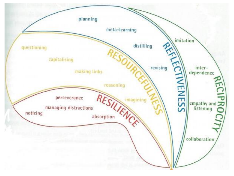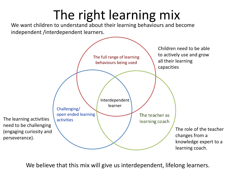# The right learning mix

We want children to understand about their learning behaviours and become independent /interdependent learners.



We believe that this mix will give us interdependent, lifelong learners.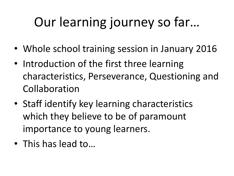# Our learning journey so far…

- Whole school training session in January 2016
- Introduction of the first three learning characteristics, Perseverance, Questioning and Collaboration
- Staff identify key learning characteristics which they believe to be of paramount importance to young learners.
- This has lead to…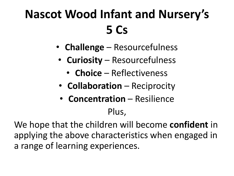### **Nascot Wood Infant and Nursery's 5 Cs**

- **Challenge** Resourcefulness
- **Curiosity** Resourcefulness
	- **Choice** Reflectiveness
- **Collaboration** Reciprocity
- **Concentration** Resilience

#### Plus,

We hope that the children will become **confident** in applying the above characteristics when engaged in a range of learning experiences.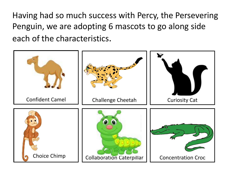Having had so much success with Percy, the Persevering Penguin, we are adopting 6 mascots to go along side each of the characteristics.

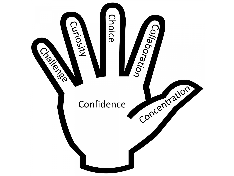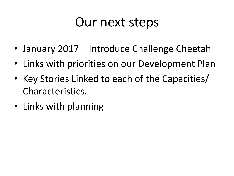#### Our next steps

- January 2017 Introduce Challenge Cheetah
- Links with priorities on our Development Plan
- Key Stories Linked to each of the Capacities/ Characteristics.
- Links with planning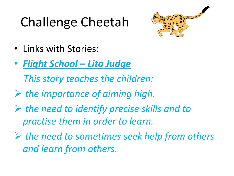# Challenge Cheetah



- Links with Stories:
- *Flight School – Lita Judge*

 *This story teaches the children:*

- *the importance of aiming high.*
- *the need to identify precise skills and to practise them in order to learn.*
- *the need to sometimes seek help from others and learn from others.*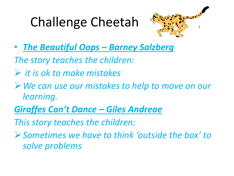# Challenge Cheetah



• *The Beautiful Oops – Barney Salzberg*

*The story teaches the children:*

- *it is ok to make mistakes*
- *We can use our mistakes to help to move on our learning.*
- *Giraffes Can't Dance – Giles Andreae*

*This story teaches the children:*

*Sometimes we have to think 'outside the box' to solve problems*